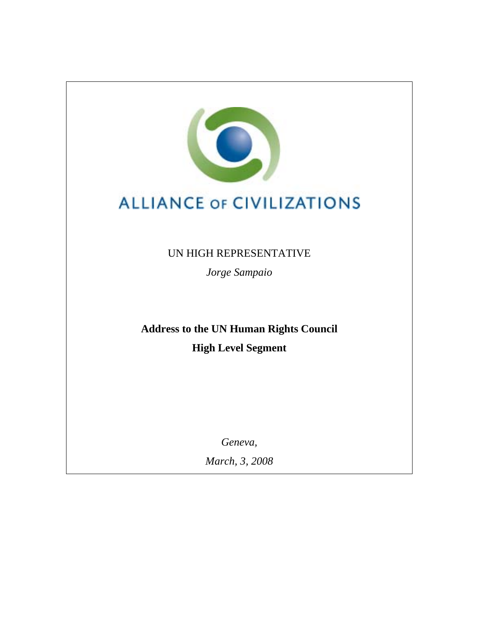

# **ALLIANCE OF CIVILIZATIONS**

UN HIGH REPRESENTATIVE

*Jorge Sampaio* 

**Address to the UN Human Rights Council High Level Segment** 

*Geneva,* 

*March, 3, 2008*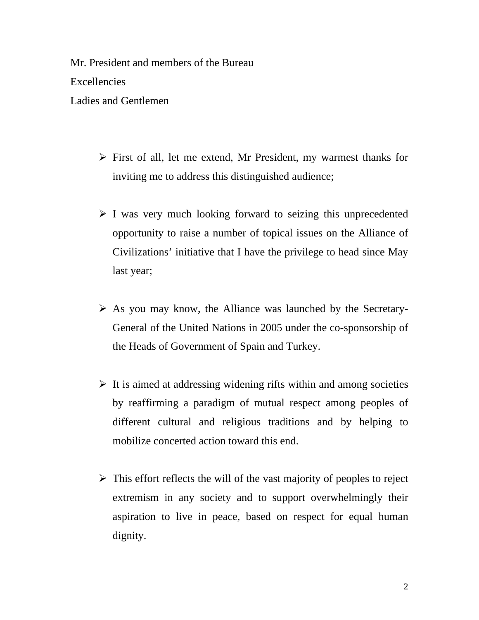Mr. President and members of the Bureau Excellencies Ladies and Gentlemen

- $\triangleright$  First of all, let me extend, Mr President, my warmest thanks for inviting me to address this distinguished audience;
- $\triangleright$  I was very much looking forward to seizing this unprecedented opportunity to raise a number of topical issues on the Alliance of Civilizations' initiative that I have the privilege to head since May last year;
- $\triangleright$  As you may know, the Alliance was launched by the Secretary-General of the United Nations in 2005 under the co-sponsorship of the Heads of Government of Spain and Turkey.
- $\triangleright$  It is aimed at addressing widening rifts within and among societies by reaffirming a paradigm of mutual respect among peoples of different cultural and religious traditions and by helping to mobilize concerted action toward this end.
- $\triangleright$  This effort reflects the will of the vast majority of peoples to reject extremism in any society and to support overwhelmingly their aspiration to live in peace, based on respect for equal human dignity.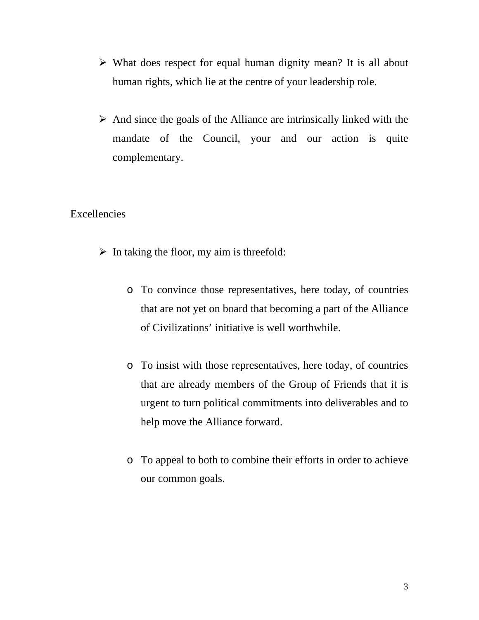- $\triangleright$  What does respect for equal human dignity mean? It is all about human rights, which lie at the centre of your leadership role.
- $\triangleright$  And since the goals of the Alliance are intrinsically linked with the mandate of the Council, your and our action is quite complementary.

## Excellencies

- $\triangleright$  In taking the floor, my aim is threefold:
	- o To convince those representatives, here today, of countries that are not yet on board that becoming a part of the Alliance of Civilizations' initiative is well worthwhile.
	- o To insist with those representatives, here today, of countries that are already members of the Group of Friends that it is urgent to turn political commitments into deliverables and to help move the Alliance forward.
	- o To appeal to both to combine their efforts in order to achieve our common goals.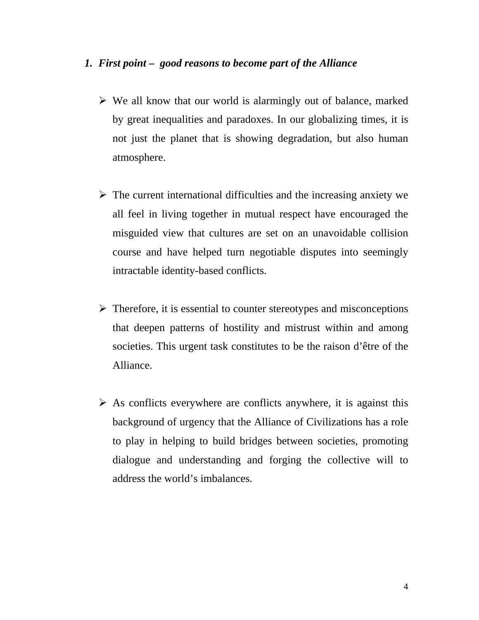### *1. First point – good reasons to become part of the Alliance*

- $\triangleright$  We all know that our world is alarmingly out of balance, marked by great inequalities and paradoxes. In our globalizing times, it is not just the planet that is showing degradation, but also human atmosphere.
- $\triangleright$  The current international difficulties and the increasing anxiety we all feel in living together in mutual respect have encouraged the misguided view that cultures are set on an unavoidable collision course and have helped turn negotiable disputes into seemingly intractable identity-based conflicts.
- $\triangleright$  Therefore, it is essential to counter stereotypes and misconceptions that deepen patterns of hostility and mistrust within and among societies. This urgent task constitutes to be the raison d'être of the Alliance.
- $\triangleright$  As conflicts everywhere are conflicts anywhere, it is against this background of urgency that the Alliance of Civilizations has a role to play in helping to build bridges between societies, promoting dialogue and understanding and forging the collective will to address the world's imbalances.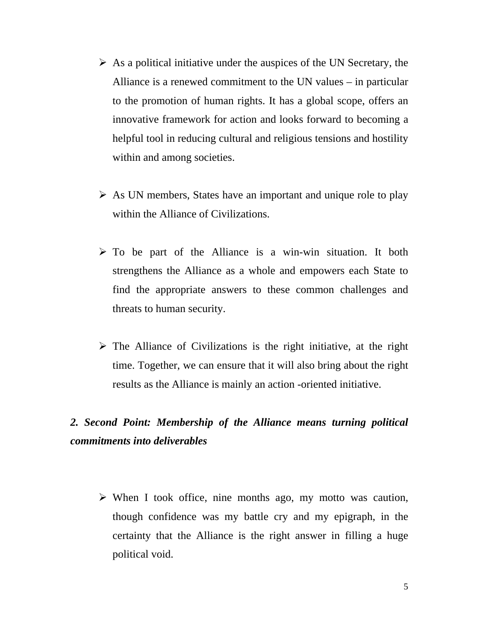- $\triangleright$  As a political initiative under the auspices of the UN Secretary, the Alliance is a renewed commitment to the UN values – in particular to the promotion of human rights. It has a global scope, offers an innovative framework for action and looks forward to becoming a helpful tool in reducing cultural and religious tensions and hostility within and among societies.
- $\triangleright$  As UN members, States have an important and unique role to play within the Alliance of Civilizations.
- $\triangleright$  To be part of the Alliance is a win-win situation. It both strengthens the Alliance as a whole and empowers each State to find the appropriate answers to these common challenges and threats to human security.
- $\triangleright$  The Alliance of Civilizations is the right initiative, at the right time. Together, we can ensure that it will also bring about the right results as the Alliance is mainly an action -oriented initiative.

# *2. Second Point: Membership of the Alliance means turning political commitments into deliverables*

 $\triangleright$  When I took office, nine months ago, my motto was caution, though confidence was my battle cry and my epigraph, in the certainty that the Alliance is the right answer in filling a huge political void.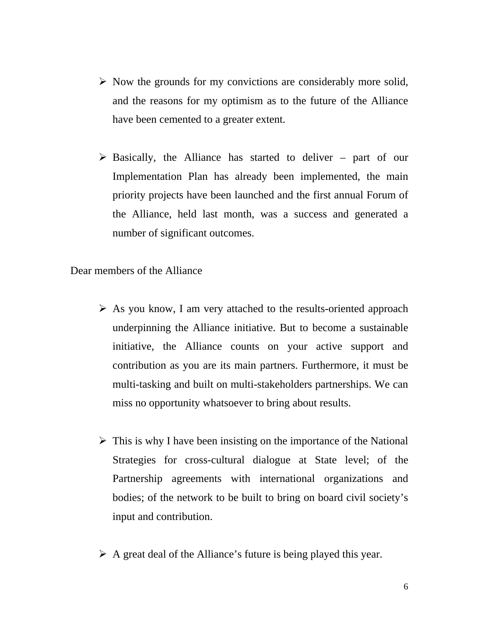- $\triangleright$  Now the grounds for my convictions are considerably more solid, and the reasons for my optimism as to the future of the Alliance have been cemented to a greater extent.
- $\triangleright$  Basically, the Alliance has started to deliver part of our Implementation Plan has already been implemented, the main priority projects have been launched and the first annual Forum of the Alliance, held last month, was a success and generated a number of significant outcomes.

Dear members of the Alliance

- $\triangleright$  As you know, I am very attached to the results-oriented approach underpinning the Alliance initiative. But to become a sustainable initiative, the Alliance counts on your active support and contribution as you are its main partners. Furthermore, it must be multi-tasking and built on multi-stakeholders partnerships. We can miss no opportunity whatsoever to bring about results.
- $\triangleright$  This is why I have been insisting on the importance of the National Strategies for cross-cultural dialogue at State level; of the Partnership agreements with international organizations and bodies; of the network to be built to bring on board civil society's input and contribution.
- $\triangleright$  A great deal of the Alliance's future is being played this year.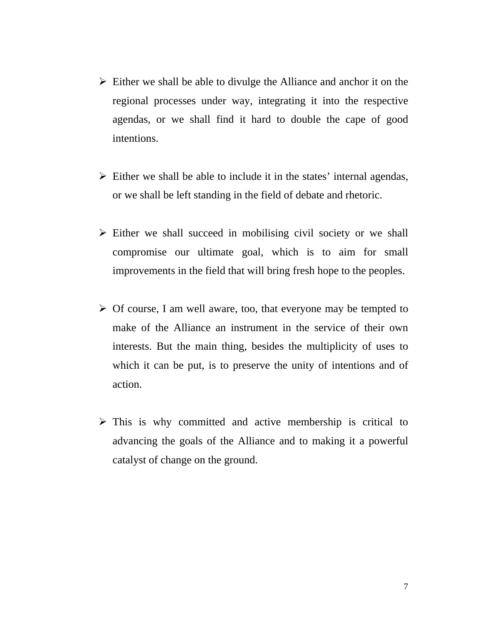- $\triangleright$  Either we shall be able to divulge the Alliance and anchor it on the regional processes under way, integrating it into the respective agendas, or we shall find it hard to double the cape of good intentions.
- $\triangleright$  Either we shall be able to include it in the states' internal agendas, or we shall be left standing in the field of debate and rhetoric.
- $\triangleright$  Either we shall succeed in mobilising civil society or we shall compromise our ultimate goal, which is to aim for small improvements in the field that will bring fresh hope to the peoples.
- $\triangleright$  Of course, I am well aware, too, that everyone may be tempted to make of the Alliance an instrument in the service of their own interests. But the main thing, besides the multiplicity of uses to which it can be put, is to preserve the unity of intentions and of action.
- $\triangleright$  This is why committed and active membership is critical to advancing the goals of the Alliance and to making it a powerful catalyst of change on the ground.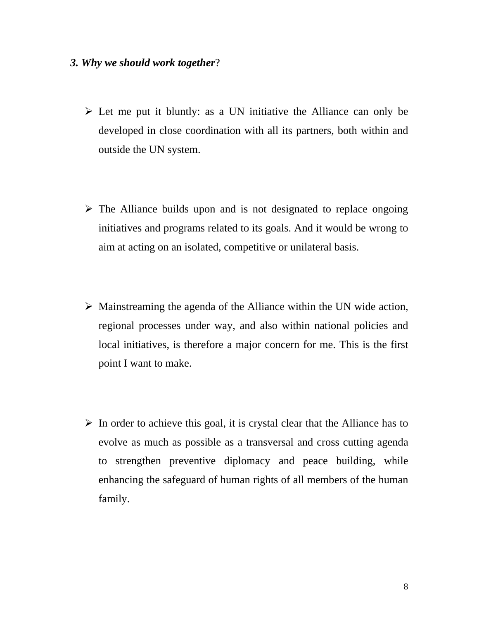### *3. Why we should work together*?

- $\triangleright$  Let me put it bluntly: as a UN initiative the Alliance can only be developed in close coordination with all its partners, both within and outside the UN system.
- $\triangleright$  The Alliance builds upon and is not designated to replace ongoing initiatives and programs related to its goals. And it would be wrong to aim at acting on an isolated, competitive or unilateral basis.
- $\triangleright$  Mainstreaming the agenda of the Alliance within the UN wide action, regional processes under way, and also within national policies and local initiatives, is therefore a major concern for me. This is the first point I want to make.
- $\triangleright$  In order to achieve this goal, it is crystal clear that the Alliance has to evolve as much as possible as a transversal and cross cutting agenda to strengthen preventive diplomacy and peace building, while enhancing the safeguard of human rights of all members of the human family.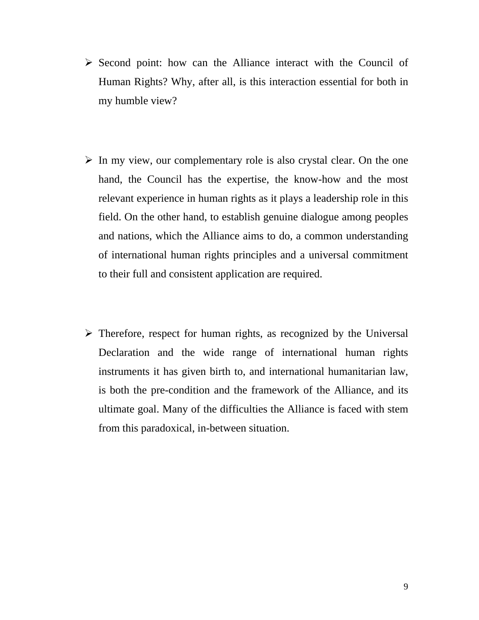- $\triangleright$  Second point: how can the Alliance interact with the Council of Human Rights? Why, after all, is this interaction essential for both in my humble view?
- $\triangleright$  In my view, our complementary role is also crystal clear. On the one hand, the Council has the expertise, the know-how and the most relevant experience in human rights as it plays a leadership role in this field. On the other hand, to establish genuine dialogue among peoples and nations, which the Alliance aims to do, a common understanding of international human rights principles and a universal commitment to their full and consistent application are required.
- $\triangleright$  Therefore, respect for human rights, as recognized by the Universal Declaration and the wide range of international human rights instruments it has given birth to, and international humanitarian law, is both the pre-condition and the framework of the Alliance, and its ultimate goal. Many of the difficulties the Alliance is faced with stem from this paradoxical, in-between situation.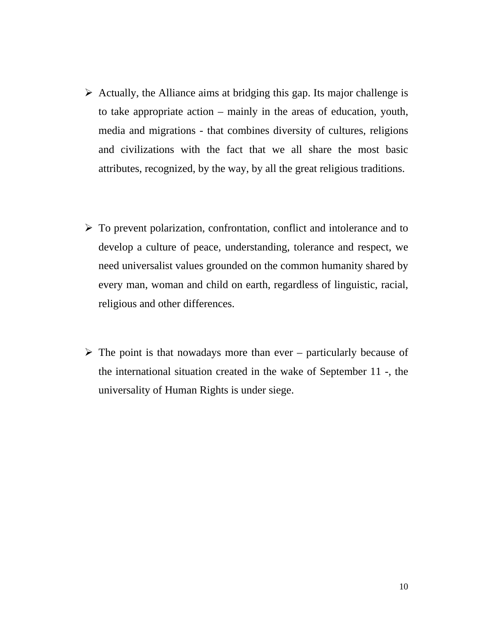- $\triangleright$  Actually, the Alliance aims at bridging this gap. Its major challenge is to take appropriate action – mainly in the areas of education, youth, media and migrations - that combines diversity of cultures, religions and civilizations with the fact that we all share the most basic attributes, recognized, by the way, by all the great religious traditions.
- $\triangleright$  To prevent polarization, confrontation, conflict and intolerance and to develop a culture of peace, understanding, tolerance and respect, we need universalist values grounded on the common humanity shared by every man, woman and child on earth, regardless of linguistic, racial, religious and other differences.
- $\triangleright$  The point is that nowadays more than ever particularly because of the international situation created in the wake of September 11 -, the universality of Human Rights is under siege.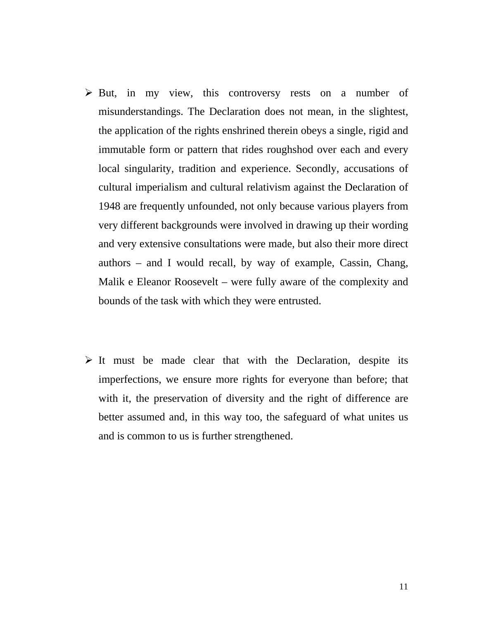- $\triangleright$  But, in my view, this controversy rests on a number of misunderstandings. The Declaration does not mean, in the slightest, the application of the rights enshrined therein obeys a single, rigid and immutable form or pattern that rides roughshod over each and every local singularity, tradition and experience. Secondly, accusations of cultural imperialism and cultural relativism against the Declaration of 1948 are frequently unfounded, not only because various players from very different backgrounds were involved in drawing up their wording and very extensive consultations were made, but also their more direct authors – and I would recall, by way of example, Cassin, Chang, Malik e Eleanor Roosevelt – were fully aware of the complexity and bounds of the task with which they were entrusted.
- $\triangleright$  It must be made clear that with the Declaration, despite its imperfections, we ensure more rights for everyone than before; that with it, the preservation of diversity and the right of difference are better assumed and, in this way too, the safeguard of what unites us and is common to us is further strengthened.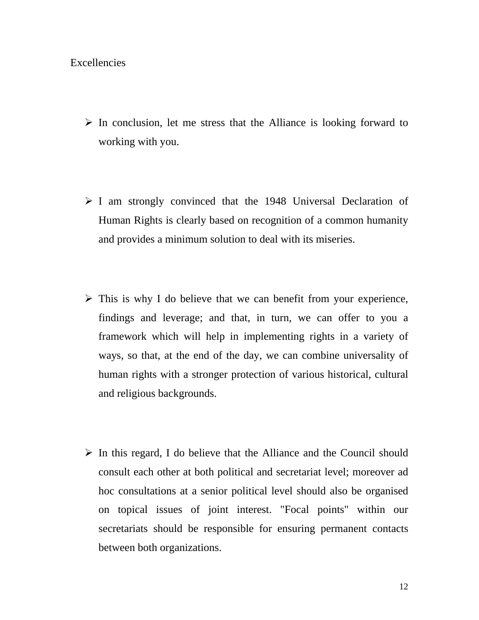### Excellencies

- $\triangleright$  In conclusion, let me stress that the Alliance is looking forward to working with you.
- $\triangleright$  I am strongly convinced that the 1948 Universal Declaration of Human Rights is clearly based on recognition of a common humanity and provides a minimum solution to deal with its miseries.
- $\triangleright$  This is why I do believe that we can benefit from your experience, findings and leverage; and that, in turn, we can offer to you a framework which will help in implementing rights in a variety of ways, so that, at the end of the day, we can combine universality of human rights with a stronger protection of various historical, cultural and religious backgrounds.
- $\triangleright$  In this regard, I do believe that the Alliance and the Council should consult each other at both political and secretariat level; moreover ad hoc consultations at a senior political level should also be organised on topical issues of joint interest. "Focal points" within our secretariats should be responsible for ensuring permanent contacts between both organizations.